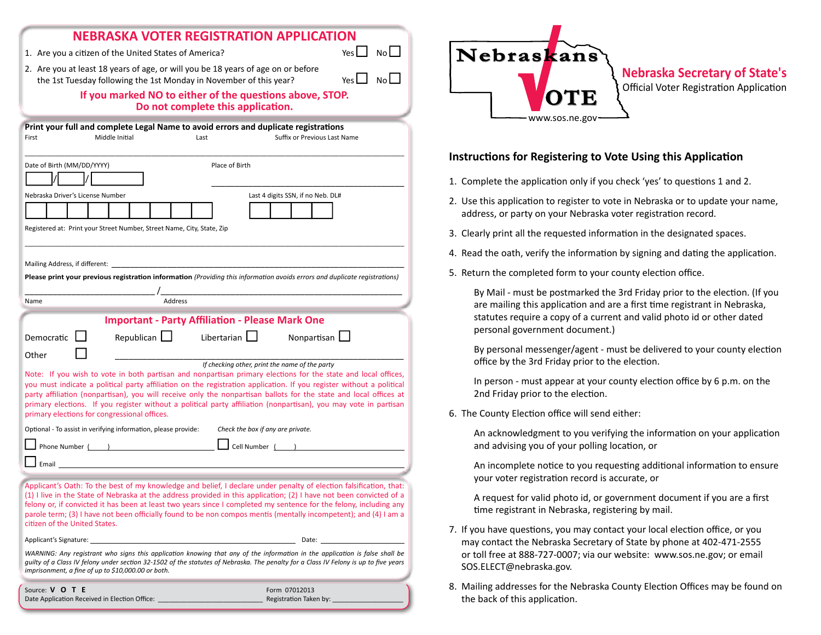| <b>NEBRASKA VOTER REGISTRATION APPLICATION</b>                                                                                                                                                                                                                                                                                                                                                                                                                                      |                                                                                                                                                                            |
|-------------------------------------------------------------------------------------------------------------------------------------------------------------------------------------------------------------------------------------------------------------------------------------------------------------------------------------------------------------------------------------------------------------------------------------------------------------------------------------|----------------------------------------------------------------------------------------------------------------------------------------------------------------------------|
| Yes $\Box$ No $\Box$<br>1. Are you a citizen of the United States of America?                                                                                                                                                                                                                                                                                                                                                                                                       | Nebraskans                                                                                                                                                                 |
| 2. Are you at least 18 years of age, or will you be 18 years of age on or before<br>$N$ o $L$<br>Yes $\Box$<br>the 1st Tuesday following the 1st Monday in November of this year?                                                                                                                                                                                                                                                                                                   | <b>Nebraska Secretary of State's</b><br><b>Official Voter Registration Application</b>                                                                                     |
| If you marked NO to either of the questions above, STOP.<br>Do not complete this application.                                                                                                                                                                                                                                                                                                                                                                                       |                                                                                                                                                                            |
| Print your full and complete Legal Name to avoid errors and duplicate registrations<br>Middle Initial<br>Suffix or Previous Last Name<br>First<br>Last                                                                                                                                                                                                                                                                                                                              | www.sos.ne.gov                                                                                                                                                             |
| Place of Birth<br>Date of Birth (MM/DD/YYYY)                                                                                                                                                                                                                                                                                                                                                                                                                                        | Instructions for Registering to Vote Using this Application                                                                                                                |
|                                                                                                                                                                                                                                                                                                                                                                                                                                                                                     | 1. Complete the application only if you check 'yes' to questions 1 and 2.                                                                                                  |
| Last 4 digits SSN, if no Neb. DL#<br>Nebraska Driver's License Number                                                                                                                                                                                                                                                                                                                                                                                                               | 2. Use this application to register to vote in Nebraska or to update your name,<br>address, or party on your Nebraska voter registration record.                           |
| Registered at: Print your Street Number, Street Name, City, State, Zip                                                                                                                                                                                                                                                                                                                                                                                                              | 3. Clearly print all the requested information in the designated spaces.                                                                                                   |
|                                                                                                                                                                                                                                                                                                                                                                                                                                                                                     | 4. Read the oath, verify the information by signing and dating the application.                                                                                            |
| Mailing Address, if different:<br>Please print your previous registration information (Providing this information avoids errors and duplicate registrations)                                                                                                                                                                                                                                                                                                                        | 5. Return the completed form to your county election office.                                                                                                               |
| Address<br>Name                                                                                                                                                                                                                                                                                                                                                                                                                                                                     | By Mail - must be postmarked the 3rd Friday prior to the election. (If you<br>are mailing this application and are a first time registrant in Nebraska,                    |
| <b>Important - Party Affiliation - Please Mark One</b>                                                                                                                                                                                                                                                                                                                                                                                                                              | statutes require a copy of a current and valid photo id or other dated<br>personal government document.)                                                                   |
| Republican<br>Libertarian $\Box$<br>Nonpartisan $\Box$<br>Democratic<br>Other<br>If checking other, print the name of the party                                                                                                                                                                                                                                                                                                                                                     | By personal messenger/agent - must be delivered to your county election<br>office by the 3rd Friday prior to the election.                                                 |
| Note: If you wish to vote in both partisan and nonpartisan primary elections for the state and local offices,<br>you must indicate a political party affiliation on the registration application. If you register without a political<br>party affiliation (nonpartisan), you will receive only the nonpartisan ballots for the state and local offices at                                                                                                                          | In person - must appear at your county election office by 6 p.m. on the<br>2nd Friday prior to the election.                                                               |
| primary elections. If you register without a political party affiliation (nonpartisan), you may vote in partisan<br>primary elections for congressional offices.                                                                                                                                                                                                                                                                                                                    | 6. The County Election office will send either:                                                                                                                            |
| Optional - To assist in verifying information, please provide:<br>Check the box if any are private.<br>Phone Number ( ) 2020 Cell Number ( )                                                                                                                                                                                                                                                                                                                                        | An acknowledgment to you verifying the information on your application<br>and advising you of your polling location, or                                                    |
| $\Box$ Email                                                                                                                                                                                                                                                                                                                                                                                                                                                                        | An incomplete notice to you requesting additional information to ensure<br>your voter registration record is accurate, or                                                  |
| Applicant's Oath: To the best of my knowledge and belief, I declare under penalty of election falsification, that:<br>(1) I live in the State of Nebraska at the address provided in this application; (2) I have not been convicted of a<br>felony or, if convicted it has been at least two years since I completed my sentence for the felony, including any<br>parole term; (3) I have not been officially found to be non compos mentis (mentally incompetent); and (4) I am a | A request for valid photo id, or government document if you are a first<br>time registrant in Nebraska, registering by mail.                                               |
| citizen of the United States.                                                                                                                                                                                                                                                                                                                                                                                                                                                       | 7. If you have questions, you may contact your local election office, or you                                                                                               |
| Applicant's Signature:<br>Date:<br>WARNING: Any registrant who signs this application knowing that any of the information in the application is false shall be<br>quilty of a Class IV felony under section 32-1502 of the statutes of Nebraska. The penalty for a Class IV Felony is up to five years<br>imprisonment, a fine of up to \$10,000.00 or both.                                                                                                                        | may contact the Nebraska Secretary of State by phone at 402-471-2555<br>or toll free at 888-727-0007; via our website: www.sos.ne.gov; or email<br>SOS.ELECT@nebraska.gov. |
| Source: V O T E<br>Form 07012013<br>Date Application Received in Election Office: _<br>Registration Taken by:                                                                                                                                                                                                                                                                                                                                                                       | 8. Mailing addresses for the Nebraska County Election Offices may be found on<br>the back of this application.                                                             |